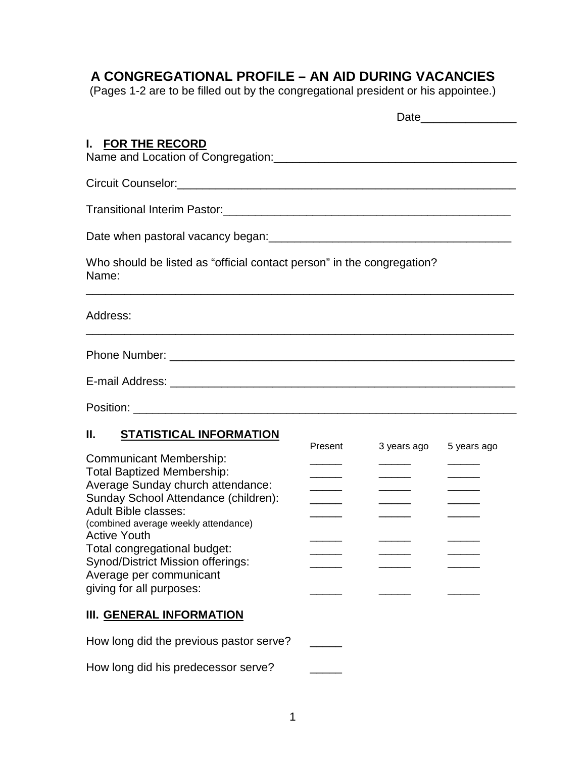## **A CONGREGATIONAL PROFILE – AN AID DURING VACANCIES**

(Pages 1-2 are to be filled out by the congregational president or his appointee.)

| I. FOR THE RECORD<br>Name and Location of Congregation: Name and Location of Congregation:                                                                                                                                                                                     |                                                                 |                                                                     |             |
|--------------------------------------------------------------------------------------------------------------------------------------------------------------------------------------------------------------------------------------------------------------------------------|-----------------------------------------------------------------|---------------------------------------------------------------------|-------------|
|                                                                                                                                                                                                                                                                                |                                                                 |                                                                     |             |
|                                                                                                                                                                                                                                                                                |                                                                 |                                                                     |             |
|                                                                                                                                                                                                                                                                                |                                                                 |                                                                     |             |
| Who should be listed as "official contact person" in the congregation?<br>Name:                                                                                                                                                                                                |                                                                 |                                                                     |             |
| Address:                                                                                                                                                                                                                                                                       |                                                                 |                                                                     |             |
|                                                                                                                                                                                                                                                                                |                                                                 |                                                                     |             |
|                                                                                                                                                                                                                                                                                |                                                                 |                                                                     |             |
|                                                                                                                                                                                                                                                                                |                                                                 |                                                                     |             |
| <b>STATISTICAL INFORMATION</b><br>Н.                                                                                                                                                                                                                                           |                                                                 |                                                                     |             |
| <b>Communicant Membership:</b><br><b>Total Baptized Membership:</b><br>Average Sunday church attendance:<br>Sunday School Attendance (children):<br><b>Adult Bible classes:</b><br>(combined average weekly attendance)<br><b>Active Youth</b><br>Total congregational budget: | Present<br>$\overline{\phantom{a}}$<br>$\overline{\phantom{a}}$ | 3 years ago<br>$\overline{\phantom{a}}$<br>$\overline{\phantom{a}}$ | 5 years ago |
| Synod/District Mission offerings:<br>Average per communicant                                                                                                                                                                                                                   |                                                                 | $\overline{\phantom{a}}$                                            |             |

giving for all purposes:

## **III. GENERAL INFORMATION**

How long did the previous pastor serve?

How long did his predecessor serve?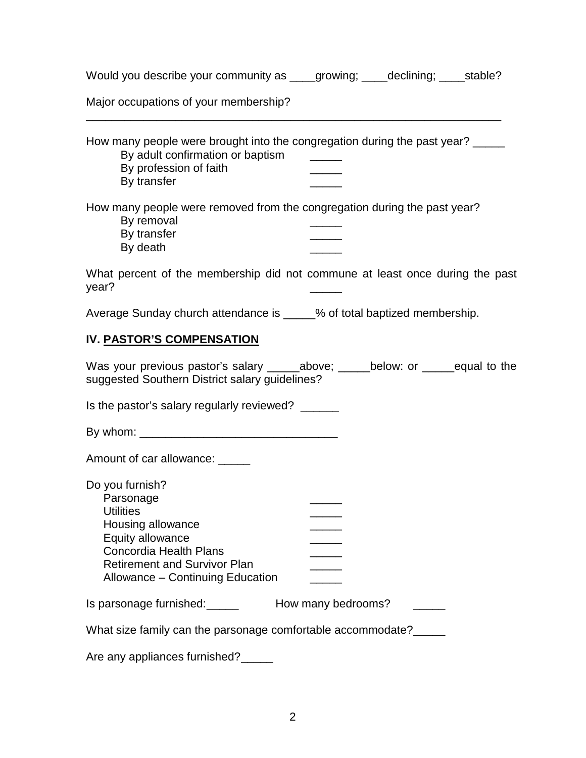| Would you describe your community as |  |  | stable? |
|--------------------------------------|--|--|---------|
|--------------------------------------|--|--|---------|

Major occupations of your membership?

| How many people were brought into the congregation during the past year? _____<br>By adult confirmation or baptism<br>By profession of faith<br>By transfer                                           |  |
|-------------------------------------------------------------------------------------------------------------------------------------------------------------------------------------------------------|--|
| How many people were removed from the congregation during the past year?<br>By removal<br>By transfer<br>By death                                                                                     |  |
| What percent of the membership did not commune at least once during the past<br>year?                                                                                                                 |  |
| Average Sunday church attendance is _____% of total baptized membership.                                                                                                                              |  |
| IV. PASTOR'S COMPENSATION                                                                                                                                                                             |  |
| Was your previous pastor's salary ______above; ______below: or ______equal to the<br>suggested Southern District salary guidelines?                                                                   |  |
| Is the pastor's salary regularly reviewed? ______                                                                                                                                                     |  |
|                                                                                                                                                                                                       |  |
| Amount of car allowance: _____                                                                                                                                                                        |  |
| Do you furnish?<br>Parsonage<br><b>Utilities</b><br>Housing allowance<br>Equity allowance<br><b>Concordia Health Plans</b><br><b>Retirement and Survivor Plan</b><br>Allowance - Continuing Education |  |
|                                                                                                                                                                                                       |  |
| What size family can the parsonage comfortable accommodate?                                                                                                                                           |  |
| Are any appliances furnished?                                                                                                                                                                         |  |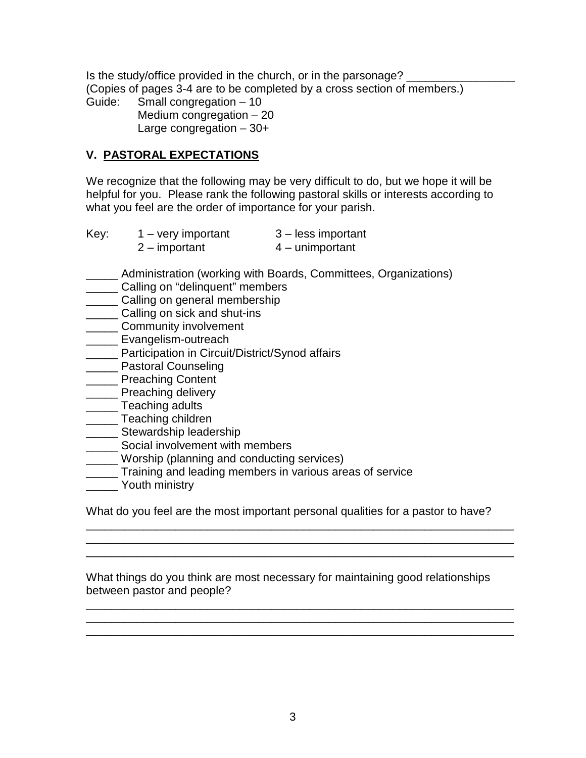Is the study/office provided in the church, or in the parsonage? (Copies of pages 3-4 are to be completed by a cross section of members.) Guide: Small congregation – 10 Medium congregation – 20

Large congregation – 30+

## **V. PASTORAL EXPECTATIONS**

We recognize that the following may be very difficult to do, but we hope it will be helpful for you. Please rank the following pastoral skills or interests according to what you feel are the order of importance for your parish.

| Key: | $1 - \text{very important}$ | 3 – less important |
|------|-----------------------------|--------------------|
|      | $2 -$ important             | $4 -$ unimportant  |

- \_\_\_\_\_ Administration (working with Boards, Committees, Organizations)
- **\_\_\_\_\_\_ Calling on "delinquent" members**
- **LECTE** Calling on general membership
- **LETT** Calling on sick and shut-ins
- **\_\_\_\_\_\_** Community involvement
- \_\_\_\_\_ Evangelism-outreach
- **\_\_\_\_\_** Participation in Circuit/District/Synod affairs
- \_\_\_\_\_ Pastoral Counseling
- \_\_\_\_\_ Preaching Content
- \_\_\_\_\_\_ Preaching delivery
- **\_\_\_\_\_\_** Teaching adults
- **\_\_\_\_\_\_** Teaching children
- \_\_\_\_\_ Stewardship leadership
- **\_\_\_\_\_\_** Social involvement with members
- \_\_\_\_\_ Worship (planning and conducting services)
- **Training and leading members in various areas of service**
- \_\_\_\_\_ Youth ministry

What do you feel are the most important personal qualities for a pastor to have?

\_\_\_\_\_\_\_\_\_\_\_\_\_\_\_\_\_\_\_\_\_\_\_\_\_\_\_\_\_\_\_\_\_\_\_\_\_\_\_\_\_\_\_\_\_\_\_\_\_\_\_\_\_\_\_\_\_\_\_\_\_\_\_\_\_\_\_ \_\_\_\_\_\_\_\_\_\_\_\_\_\_\_\_\_\_\_\_\_\_\_\_\_\_\_\_\_\_\_\_\_\_\_\_\_\_\_\_\_\_\_\_\_\_\_\_\_\_\_\_\_\_\_\_\_\_\_\_\_\_\_\_\_\_\_ \_\_\_\_\_\_\_\_\_\_\_\_\_\_\_\_\_\_\_\_\_\_\_\_\_\_\_\_\_\_\_\_\_\_\_\_\_\_\_\_\_\_\_\_\_\_\_\_\_\_\_\_\_\_\_\_\_\_\_\_\_\_\_\_\_\_\_

What things do you think are most necessary for maintaining good relationships between pastor and people?

\_\_\_\_\_\_\_\_\_\_\_\_\_\_\_\_\_\_\_\_\_\_\_\_\_\_\_\_\_\_\_\_\_\_\_\_\_\_\_\_\_\_\_\_\_\_\_\_\_\_\_\_\_\_\_\_\_\_\_\_\_\_\_\_\_\_\_ \_\_\_\_\_\_\_\_\_\_\_\_\_\_\_\_\_\_\_\_\_\_\_\_\_\_\_\_\_\_\_\_\_\_\_\_\_\_\_\_\_\_\_\_\_\_\_\_\_\_\_\_\_\_\_\_\_\_\_\_\_\_\_\_\_\_\_ \_\_\_\_\_\_\_\_\_\_\_\_\_\_\_\_\_\_\_\_\_\_\_\_\_\_\_\_\_\_\_\_\_\_\_\_\_\_\_\_\_\_\_\_\_\_\_\_\_\_\_\_\_\_\_\_\_\_\_\_\_\_\_\_\_\_\_